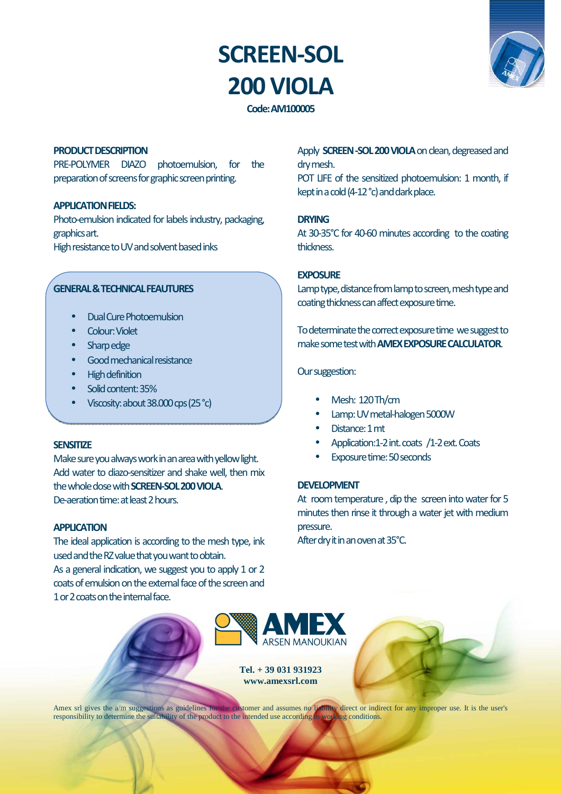# **SCREEN-SOL 200 VIOLA**



**Code: AM100005** 

### **PRODUCT DESCRIPTION**

PRE-POLYMER DIAZO photoemulsion, for the preparation of screens for graphic screen printing.

## **APPLICATION FIELDS:**

Photo-emulsion indicated for labels industry, packaging, graphics art. High resistance to UV and solvent based inks

## **GENERAL & TECHNICAL FEAUTURES**

- Dual Cure Photoemulsion
- Colour: Violet
- Sharp edge
- Good mechanical resistance
- High definition
- Solid content: 35%
- Viscosity: about 38.000 cps (25 °c)

#### **SENSITIZE**

Make sure you always work in an area with yellow light. Add water to diazo-sensitizer and shake well, then mix the whole dose with **SCREEN-SOL 200 VIOLA**. De-aeration time: at least 2 hours.

#### **APPLICATION**

The ideal application is according to the mesh type, ink used and the RZ value that you want to obtain. As a general indication, we suggest you to apply 1 or 2 coats of emulsion on the external face of the screen and 1 or 2 coats on the internal face.

Apply **SCREEN -SOL 200 VIOLA** on clean, degreased and dry mesh.

POT LIFE of the sensitized photoemulsion: 1 month, if kept in a cold (4-12 °c) and dark place.

#### **DRYING**

At 30-35°C for 40-60 minutes according to the coating thickness.

#### **EXPOSURE**

Lamp type, distance from lamp to screen, mesh type and coating thickness can affect exposure time.

To determinate the correct exposure time we suggest to make some test with **AMEX EXPOSURE CALCULATOR**.

## Our suggestion:

- Mesh: 120 Th/cm
- Lamp: UV metal-halogen 5000W
- Distance: 1 mt
- Application:1-2 int. coats /1-2 ext. Coats
- Exposure time: 50 seconds

### **DEVELOPMENT**

At room temperature , dip the screen into water for 5 minutes then rinse it through a water jet with medium pressure.

After dry it in an oven at 35°C.



**Tel. + 39 031 931923 www.amexsrl.com** 



Amex srl gives the a/m suggestions as guidelines for the customer and assumes no liability direct or indirect for any improper use. It is the user's responsibility to determine the suitability of the product to the intended use according to working conditions.